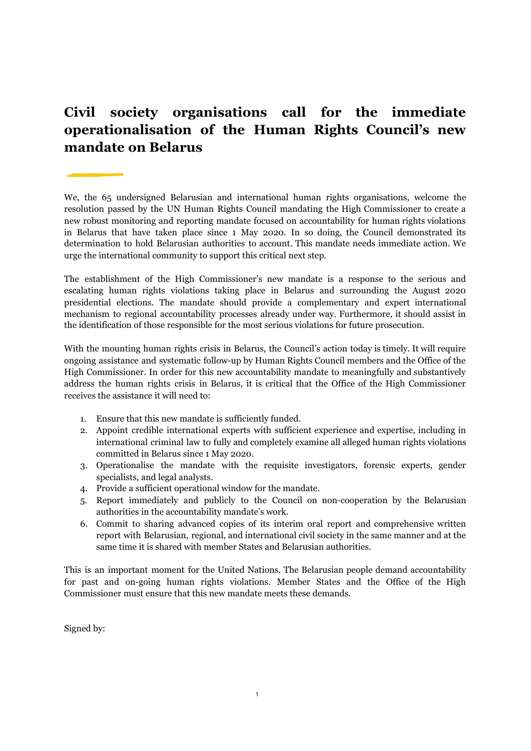## **Civil society organisations call for the immediate operationalisation of the Human Rights Council's new mandate on Belarus**

We, the 65 undersigned Belarusian and international human rights organisations, welcome the resolution passed by the UN Human Rights Council mandating the High Commissioner to create a new robust monitoring and reporting mandate focused on accountability for human rights violations in Belarus that have taken place since 1 May 2020. In so doing, the Council demonstrated its determination to hold Belarusian authorities to account. This mandate needs immediate action. We urge the international community to support this critical next step.

The establishment of the High Commissioner's new mandate is a response to the serious and escalating human rights violations taking place in Belarus and surrounding the August 2020 presidential elections. The mandate should provide a complementary and expert international mechanism to regional accountability processes already under way. Furthermore, it should assist in the identification of those responsible for the most serious violations for future prosecution.

With the mounting human rights crisis in Belarus, the Council's action today is timely. It will require ongoing assistance and systematic follow-up by Human Rights Council members and the Office of the High Commissioner. In order for this new accountability mandate to meaningfully and substantively address the human rights crisis in Belarus, it is critical that the Office of the High Commissioner receives the assistance it will need to:

- 1. Ensure that this new mandate is sufficiently funded.
- 2. Appoint credible international experts with sufficient experience and expertise, including in international criminal law to fully and completely examine all alleged human rights violations committed in Belarus since 1 May 2020.
- 3. Operationalise the mandate with the requisite investigators, forensic experts, gender specialists, and legal analysts.
- 4. Provide a sufficient operational window for the mandate.
- 5. Report immediately and publicly to the Council on non-cooperation by the Belarusian authorities in the accountability mandate's work.
- 6. Commit to sharing advanced copies of its interim oral report and comprehensive written report with Belarusian, regional, and international civil society in the same manner and at the same time it is shared with member States and Belarusian authorities.

This is an important moment for the United Nations. The Belarusian people demand accountability for past and on-going human rights violations. Member States and the Office of the High Commissioner must ensure that this new mandate meets these demands.

Signed by: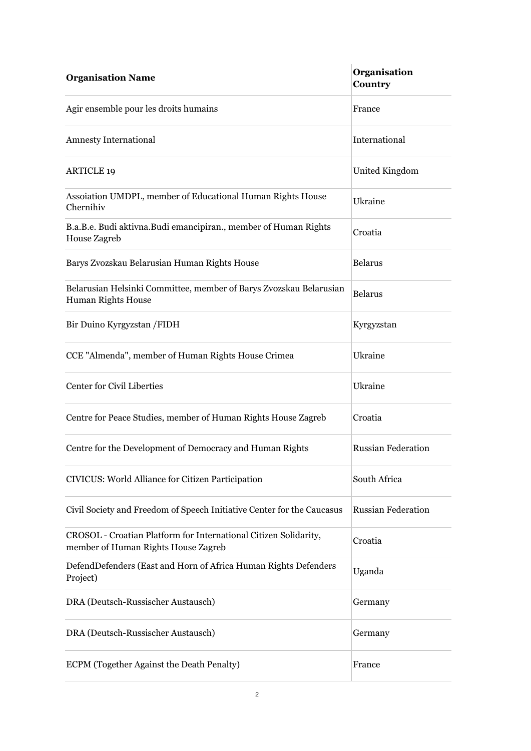| <b>Organisation Name</b>                                                                                | Organisation<br>Country   |
|---------------------------------------------------------------------------------------------------------|---------------------------|
| Agir ensemble pour les droits humains                                                                   | France                    |
| <b>Amnesty International</b>                                                                            | International             |
| <b>ARTICLE 19</b>                                                                                       | United Kingdom            |
| Assoiation UMDPL, member of Educational Human Rights House<br>Chernihiv                                 | Ukraine                   |
| B.a.B.e. Budi aktivna.Budi emancipiran., member of Human Rights<br>House Zagreb                         | Croatia                   |
| Barys Zvozskau Belarusian Human Rights House                                                            | <b>Belarus</b>            |
| Belarusian Helsinki Committee, member of Barys Zvozskau Belarusian<br><b>Human Rights House</b>         | <b>Belarus</b>            |
| Bir Duino Kyrgyzstan / FIDH                                                                             | Kyrgyzstan                |
| CCE "Almenda", member of Human Rights House Crimea                                                      | Ukraine                   |
| Center for Civil Liberties                                                                              | Ukraine                   |
| Centre for Peace Studies, member of Human Rights House Zagreb                                           | Croatia                   |
| Centre for the Development of Democracy and Human Rights                                                | <b>Russian Federation</b> |
| CIVICUS: World Alliance for Citizen Participation                                                       | South Africa              |
| Civil Society and Freedom of Speech Initiative Center for the Caucasus                                  | <b>Russian Federation</b> |
| CROSOL - Croatian Platform for International Citizen Solidarity,<br>member of Human Rights House Zagreb | Croatia                   |
| DefendDefenders (East and Horn of Africa Human Rights Defenders<br>Project)                             | Uganda                    |
| DRA (Deutsch-Russischer Austausch)                                                                      | Germany                   |
| DRA (Deutsch-Russischer Austausch)                                                                      | Germany                   |
| ECPM (Together Against the Death Penalty)                                                               | France                    |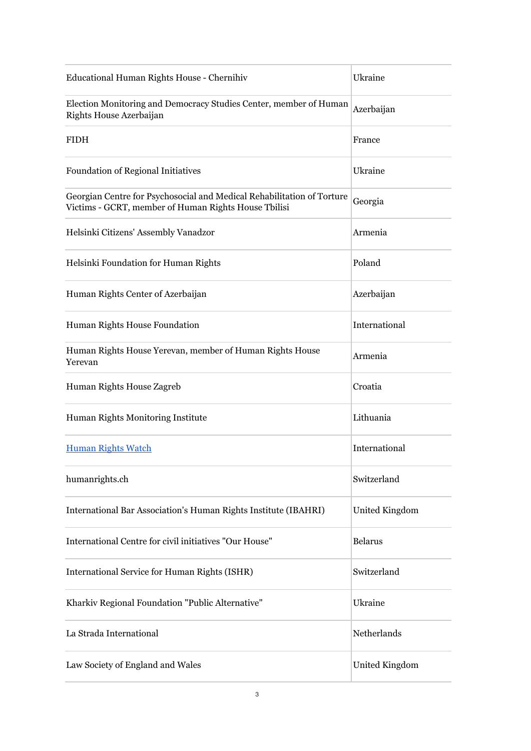| Educational Human Rights House - Chernihiv                                                                                     | Ukraine        |
|--------------------------------------------------------------------------------------------------------------------------------|----------------|
| Election Monitoring and Democracy Studies Center, member of Human<br>Rights House Azerbaijan                                   | Azerbaijan     |
| <b>FIDH</b>                                                                                                                    | France         |
| <b>Foundation of Regional Initiatives</b>                                                                                      | Ukraine        |
| Georgian Centre for Psychosocial and Medical Rehabilitation of Torture<br>Victims - GCRT, member of Human Rights House Tbilisi | Georgia        |
| Helsinki Citizens' Assembly Vanadzor                                                                                           | Armenia        |
| Helsinki Foundation for Human Rights                                                                                           | Poland         |
| Human Rights Center of Azerbaijan                                                                                              | Azerbaijan     |
| Human Rights House Foundation                                                                                                  | International  |
| Human Rights House Yerevan, member of Human Rights House<br>Yerevan                                                            | Armenia        |
| Human Rights House Zagreb                                                                                                      | Croatia        |
| Human Rights Monitoring Institute                                                                                              | Lithuania      |
| <b>Human Rights Watch</b>                                                                                                      | International  |
| humanrights.ch                                                                                                                 | Switzerland    |
| International Bar Association's Human Rights Institute (IBAHRI)                                                                | United Kingdom |
| International Centre for civil initiatives "Our House"                                                                         | <b>Belarus</b> |
| International Service for Human Rights (ISHR)                                                                                  | Switzerland    |
| Kharkiv Regional Foundation "Public Alternative"                                                                               | Ukraine        |
| La Strada International                                                                                                        | Netherlands    |
| Law Society of England and Wales                                                                                               | United Kingdom |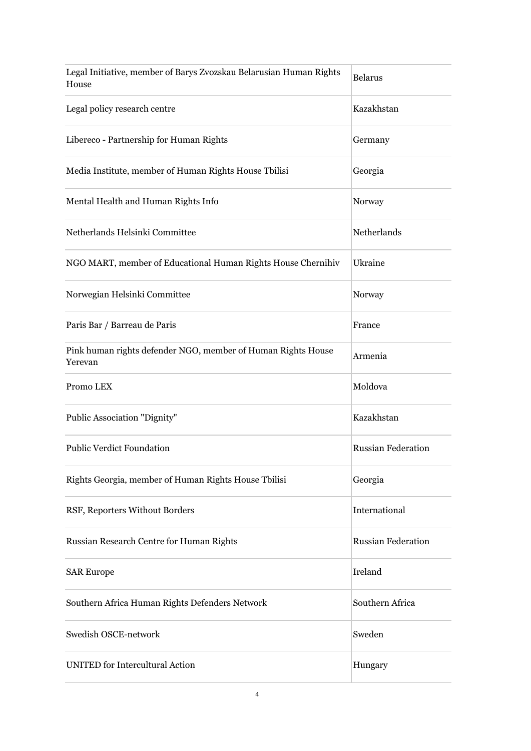| Legal Initiative, member of Barys Zvozskau Belarusian Human Rights<br>House | <b>Belarus</b>            |
|-----------------------------------------------------------------------------|---------------------------|
| Legal policy research centre                                                | Kazakhstan                |
| Libereco - Partnership for Human Rights                                     | Germany                   |
| Media Institute, member of Human Rights House Tbilisi                       | Georgia                   |
| Mental Health and Human Rights Info                                         | Norway                    |
| Netherlands Helsinki Committee                                              | Netherlands               |
| NGO MART, member of Educational Human Rights House Chernihiv                | Ukraine                   |
| Norwegian Helsinki Committee                                                | Norway                    |
| Paris Bar / Barreau de Paris                                                | France                    |
| Pink human rights defender NGO, member of Human Rights House<br>Yerevan     | Armenia                   |
| Promo LEX                                                                   | Moldova                   |
| Public Association "Dignity"                                                | Kazakhstan                |
| <b>Public Verdict Foundation</b>                                            | <b>Russian Federation</b> |
| Rights Georgia, member of Human Rights House Tbilisi                        | Georgia                   |
| RSF, Reporters Without Borders                                              | International             |
| Russian Research Centre for Human Rights                                    | <b>Russian Federation</b> |
| <b>SAR Europe</b>                                                           | Ireland                   |
| Southern Africa Human Rights Defenders Network                              | Southern Africa           |
| Swedish OSCE-network                                                        | Sweden                    |
| <b>UNITED</b> for Intercultural Action                                      | Hungary                   |